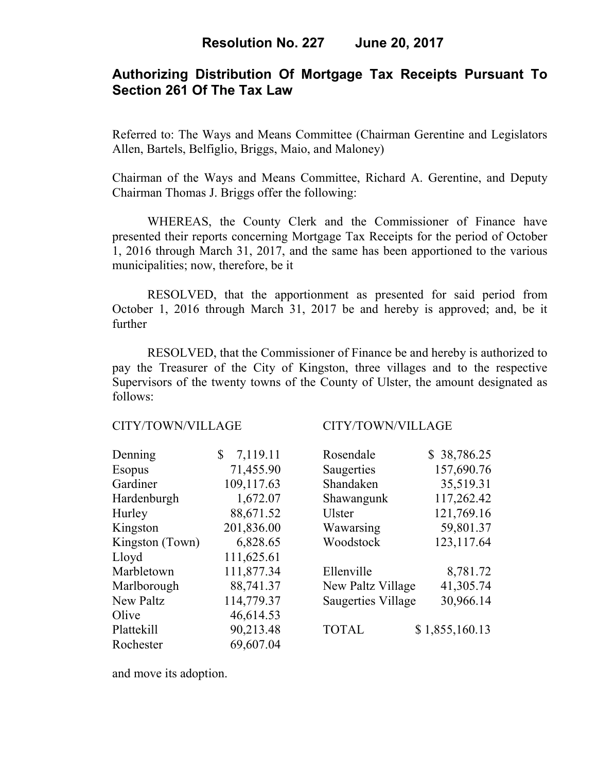# **Authorizing Distribution Of Mortgage Tax Receipts Pursuant To Section 261 Of The Tax Law**

Referred to: The Ways and Means Committee (Chairman Gerentine and Legislators Allen, Bartels, Belfiglio, Briggs, Maio, and Maloney)

Chairman of the Ways and Means Committee, Richard A. Gerentine, and Deputy Chairman Thomas J. Briggs offer the following:

 WHEREAS, the County Clerk and the Commissioner of Finance have presented their reports concerning Mortgage Tax Receipts for the period of October 1, 2016 through March 31, 2017, and the same has been apportioned to the various municipalities; now, therefore, be it

 RESOLVED, that the apportionment as presented for said period from October 1, 2016 through March 31, 2017 be and hereby is approved; and, be it further

 RESOLVED, that the Commissioner of Finance be and hereby is authorized to pay the Treasurer of the City of Kingston, three villages and to the respective Supervisors of the twenty towns of the County of Ulster, the amount designated as follows:

### CITY/TOWN/VILLAGE CITY/TOWN/VILLAGE

| Denning          | 7,119.11<br>$\mathbb{S}$ | Rosendale                 | \$38,786.25    |
|------------------|--------------------------|---------------------------|----------------|
| <b>Esopus</b>    | 71,455.90                | Saugerties                | 157,690.76     |
| Gardiner         | 109,117.63               | Shandaken                 | 35,519.31      |
| Hardenburgh      | 1,672.07                 | Shawangunk                | 117,262.42     |
| Hurley           | 88,671.52                | <b>Ulster</b>             | 121,769.16     |
| Kingston         | 201,836.00               | Wawarsing                 | 59,801.37      |
| Kingston (Town)  | 6,828.65                 | Woodstock                 | 123, 117.64    |
| Lloyd            | 111,625.61               |                           |                |
| Marbletown       | 111,877.34               | Ellenville                | 8,781.72       |
| Marlborough      | 88,741.37                | New Paltz Village         | 41,305.74      |
| <b>New Paltz</b> | 114,779.37               | <b>Saugerties Village</b> | 30,966.14      |
| Olive            | 46,614.53                |                           |                |
| Plattekill       | 90,213.48                | <b>TOTAL</b>              | \$1,855,160.13 |
| Rochester        | 69,607.04                |                           |                |

| Rosendale                 | \$38,786.25    |
|---------------------------|----------------|
| Saugerties                | 157,690.76     |
| Shandaken                 | 35,519.31      |
| Shawangunk                | 117,262.42     |
| Ulster                    | 121,769.16     |
| Wawarsing                 | 59,801.37      |
| Woodstock                 | 123, 117.64    |
| Ellenville                | 8,781.72       |
| New Paltz Village         | 41,305.74      |
| <b>Saugerties Village</b> | 30,966.14      |
| <b>TOTAL</b>              | \$1,855,160.13 |

and move its adoption.